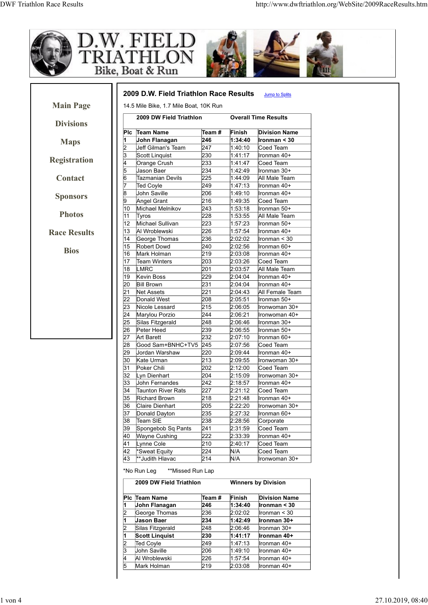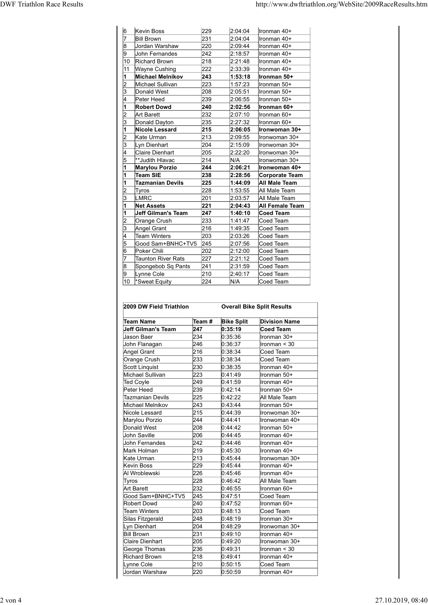|          |                                              |            |                                   | http://www.dwftriathlon.org/WebSite/2009RaceResults.htm |
|----------|----------------------------------------------|------------|-----------------------------------|---------------------------------------------------------|
|          | Kevin Boss<br><b>Bill Brown</b>              | 229<br>231 | 2:04:04<br>2:04:04                | Ironman 40+<br>Ironman 40+                              |
| 18       | Jordan Warshaw                               | 220        | 2:09:44                           | Ironman 40+                                             |
|          | John Fernandes                               | 242<br>218 | 2:18:57<br>2:21:48                | Ironman 40+                                             |
| 10<br>11 | <b>Richard Brown</b><br><b>Wayne Cushing</b> | 222        | 2:33:39                           | Ironman 40+<br>Ironman 40+                              |
|          | <b>Michael Melnikov</b>                      | 243        | 1:53:18                           | Ironman 50+                                             |
|          | Michael Sullivan                             | 223        | 1:57:23                           | Ironman 50+                                             |
|          | Donald West                                  | 208        | 2:05:51                           | Ironman 50+                                             |
|          | Peter Heed<br><b>Robert Dowd</b>             | 239<br>240 | 2:06:55<br>2:02:56                | Ironman 50+<br>Ironman 60+                              |
|          | Art Barett                                   | 232        | 2:07:10                           | Ironman 60+                                             |
|          | Donald Dayton                                | 235        | 2:27:32                           | Ironman 60+                                             |
|          | <b>Nicole Lessard</b>                        | 215        | 2:06:05                           | Ironwoman 30+                                           |
| 2        | Kate Urman                                   | 213        | 2:09:55                           | Ironwoman 30+                                           |
| 3        | Lyn Dienhart<br>Claire Dienhart              | 204<br>205 | 2:15:09<br>2:22:20                | Ironwoman 30+<br>Ironwoman 30+                          |
| 5        | **Judith Hlavac                              | 214        | N/A                               | Ironwoman 30+                                           |
|          | <b>Marylou Porzio</b>                        | 244        | 2:06:21                           | Ironwoman 40+                                           |
|          | Team SIE                                     | 238        | 2:28:56                           | Corporate Team                                          |
|          | <b>Tazmanian Devils</b>                      | 225        | 1:44:09                           | <b>All Male Team</b>                                    |
| 2<br>13  | <b>Tyros</b><br>LMRC                         | 228<br>201 | 1:53:55<br>2:03:57                | All Male Team<br>All Male Team                          |
|          | <b>Net Assets</b>                            | 221        | 2:04:43                           | <b>All Female Team</b>                                  |
|          | Jeff Gilman's Team                           | 247        | 1:40:10                           | Coed Team                                               |
|          | Orange Crush                                 | 233        | 1:41:47                           | Coed Team                                               |
| 3        | Angel Grant                                  | 216<br>203 | 1.49.35<br>2:03:26                | Coed Team                                               |
|          | <b>Team Winters</b><br>Good Sam+BNHC+TV5 245 |            | 2:07:56                           | Coed Team<br>Coed Team                                  |
| l6       | Poker Chili                                  | 202        | 2:12:00                           | Coed Team                                               |
|          | Taunton River Rats                           | 227        | 2:21:12                           | Coed Team                                               |
| 8        | Spongebob Sq Pants                           | 241        | 2:31:59                           | Coed Team                                               |
| 19       | Lynne Cole                                   | 210<br>224 | 2:40:17<br>N/A                    | Coed Team                                               |
|          | 10 Sweat Equity<br>2009 DW Field Triathlon   |            | <b>Overall Bike Split Results</b> | Coed Team                                               |
|          | <b>Team Name</b>                             | Team #     | <b>Bike Split</b>                 | <b>Division Name</b>                                    |
|          | <b>Jeff Gilman's Team</b>                    | 247        | 0:35:19                           | Coed Team                                               |
|          | Jason Baer<br>John Flanagan                  | 234<br>246 | 0:35:36<br>0.36.37                | Ironman 30+<br>Ironman $<$ 30                           |
|          | Angel Grant                                  | 216        | 0:38:34                           | Coed Team                                               |
|          | Orange Crush                                 | 233        | 0:38:34                           | Coed Team                                               |
|          | Scott Linquist                               | 230        | 0:38:35                           | Ironman 40+                                             |
|          | Michael Sullivan                             | 223<br>249 | 0.41.49<br>0:41:59                | Ironman 50+                                             |
|          | <b>Ted Coyle</b><br>Peter Heed               | 239        | 0:42:14                           | Ironman 40+<br>Ironman 50+                              |
|          |                                              |            |                                   |                                                         |
|          | <b>Tazmanian Devils</b>                      | 225        | 0.42:22                           | All Male Team                                           |

| <b>Tazmanian Devils</b> | 225                                                                                                                                                                                                                                                                                                                                                                                                                                                                                                                                                                                                                                                            | 1:44:09                                                                                                                            | <b>All Male Team</b>                                                                                                                    |
|-------------------------|----------------------------------------------------------------------------------------------------------------------------------------------------------------------------------------------------------------------------------------------------------------------------------------------------------------------------------------------------------------------------------------------------------------------------------------------------------------------------------------------------------------------------------------------------------------------------------------------------------------------------------------------------------------|------------------------------------------------------------------------------------------------------------------------------------|-----------------------------------------------------------------------------------------------------------------------------------------|
|                         |                                                                                                                                                                                                                                                                                                                                                                                                                                                                                                                                                                                                                                                                |                                                                                                                                    | All Male Team                                                                                                                           |
|                         |                                                                                                                                                                                                                                                                                                                                                                                                                                                                                                                                                                                                                                                                |                                                                                                                                    | All Male Team                                                                                                                           |
|                         |                                                                                                                                                                                                                                                                                                                                                                                                                                                                                                                                                                                                                                                                |                                                                                                                                    | All Female Team                                                                                                                         |
|                         |                                                                                                                                                                                                                                                                                                                                                                                                                                                                                                                                                                                                                                                                |                                                                                                                                    | Coed Team                                                                                                                               |
|                         |                                                                                                                                                                                                                                                                                                                                                                                                                                                                                                                                                                                                                                                                |                                                                                                                                    | Coed Team                                                                                                                               |
|                         |                                                                                                                                                                                                                                                                                                                                                                                                                                                                                                                                                                                                                                                                |                                                                                                                                    | Coed Team                                                                                                                               |
|                         |                                                                                                                                                                                                                                                                                                                                                                                                                                                                                                                                                                                                                                                                |                                                                                                                                    | Coed Team                                                                                                                               |
|                         |                                                                                                                                                                                                                                                                                                                                                                                                                                                                                                                                                                                                                                                                |                                                                                                                                    | Coed Team                                                                                                                               |
|                         |                                                                                                                                                                                                                                                                                                                                                                                                                                                                                                                                                                                                                                                                |                                                                                                                                    | Coed Team                                                                                                                               |
|                         |                                                                                                                                                                                                                                                                                                                                                                                                                                                                                                                                                                                                                                                                |                                                                                                                                    | Coed Team                                                                                                                               |
|                         |                                                                                                                                                                                                                                                                                                                                                                                                                                                                                                                                                                                                                                                                |                                                                                                                                    | Coed Team                                                                                                                               |
|                         |                                                                                                                                                                                                                                                                                                                                                                                                                                                                                                                                                                                                                                                                |                                                                                                                                    | Coed Team                                                                                                                               |
|                         |                                                                                                                                                                                                                                                                                                                                                                                                                                                                                                                                                                                                                                                                |                                                                                                                                    | Coed Team                                                                                                                               |
|                         |                                                                                                                                                                                                                                                                                                                                                                                                                                                                                                                                                                                                                                                                |                                                                                                                                    | <b>Overall Bike Split Results</b>                                                                                                       |
|                         | Team #                                                                                                                                                                                                                                                                                                                                                                                                                                                                                                                                                                                                                                                         | <b>Bike Split</b>                                                                                                                  | <b>Division Name</b>                                                                                                                    |
|                         | 247                                                                                                                                                                                                                                                                                                                                                                                                                                                                                                                                                                                                                                                            | 0:35:19                                                                                                                            | <b>Coed Team</b>                                                                                                                        |
|                         | 234                                                                                                                                                                                                                                                                                                                                                                                                                                                                                                                                                                                                                                                            | 0.35.36                                                                                                                            | Ironman 30+                                                                                                                             |
|                         | 246                                                                                                                                                                                                                                                                                                                                                                                                                                                                                                                                                                                                                                                            | 0:36:37                                                                                                                            | Ironman < 30                                                                                                                            |
|                         | 216                                                                                                                                                                                                                                                                                                                                                                                                                                                                                                                                                                                                                                                            | 0:38:34                                                                                                                            | Coed Team                                                                                                                               |
|                         | 233                                                                                                                                                                                                                                                                                                                                                                                                                                                                                                                                                                                                                                                            | 0:38:34                                                                                                                            | Coed Team                                                                                                                               |
|                         | 230                                                                                                                                                                                                                                                                                                                                                                                                                                                                                                                                                                                                                                                            | 0:38:35                                                                                                                            | Ironman 40+                                                                                                                             |
|                         | 223                                                                                                                                                                                                                                                                                                                                                                                                                                                                                                                                                                                                                                                            | 0:41:49                                                                                                                            | Ironman 50+                                                                                                                             |
|                         | 249                                                                                                                                                                                                                                                                                                                                                                                                                                                                                                                                                                                                                                                            | 0.41.59                                                                                                                            | Ironman 40+                                                                                                                             |
|                         | 239                                                                                                                                                                                                                                                                                                                                                                                                                                                                                                                                                                                                                                                            | 0.42:14                                                                                                                            | Ironman 50+                                                                                                                             |
|                         | 225                                                                                                                                                                                                                                                                                                                                                                                                                                                                                                                                                                                                                                                            | 0:42:22                                                                                                                            | All Male Team                                                                                                                           |
|                         | 243                                                                                                                                                                                                                                                                                                                                                                                                                                                                                                                                                                                                                                                            | 0.43.44                                                                                                                            | Ironman 50+                                                                                                                             |
|                         | 215                                                                                                                                                                                                                                                                                                                                                                                                                                                                                                                                                                                                                                                            | 0.44.39                                                                                                                            | Ironwoman 30+                                                                                                                           |
|                         | 244                                                                                                                                                                                                                                                                                                                                                                                                                                                                                                                                                                                                                                                            | 0.44:41                                                                                                                            | Ironwoman 40+                                                                                                                           |
|                         | 208                                                                                                                                                                                                                                                                                                                                                                                                                                                                                                                                                                                                                                                            | 0:44:42                                                                                                                            | Ironman 50+                                                                                                                             |
|                         | 206                                                                                                                                                                                                                                                                                                                                                                                                                                                                                                                                                                                                                                                            | 0.44.45                                                                                                                            | Ironman 40+                                                                                                                             |
|                         | 242                                                                                                                                                                                                                                                                                                                                                                                                                                                                                                                                                                                                                                                            | 0.44.46                                                                                                                            | Ironman 40+                                                                                                                             |
|                         | 219                                                                                                                                                                                                                                                                                                                                                                                                                                                                                                                                                                                                                                                            | 0.45:30                                                                                                                            | Ironman 40+                                                                                                                             |
|                         | 213                                                                                                                                                                                                                                                                                                                                                                                                                                                                                                                                                                                                                                                            | 0.45.44                                                                                                                            | Ironwoman 30+                                                                                                                           |
|                         | 229                                                                                                                                                                                                                                                                                                                                                                                                                                                                                                                                                                                                                                                            | 0.45.44                                                                                                                            | Ironman 40+                                                                                                                             |
|                         | 226                                                                                                                                                                                                                                                                                                                                                                                                                                                                                                                                                                                                                                                            | 0.45.46                                                                                                                            | Ironman 40+                                                                                                                             |
|                         | 228                                                                                                                                                                                                                                                                                                                                                                                                                                                                                                                                                                                                                                                            | 0.46.42                                                                                                                            | All Male Team                                                                                                                           |
|                         | 232                                                                                                                                                                                                                                                                                                                                                                                                                                                                                                                                                                                                                                                            | 0.46.55                                                                                                                            | Ironman 60+                                                                                                                             |
| Good Sam+BNHC+TV5       | 245                                                                                                                                                                                                                                                                                                                                                                                                                                                                                                                                                                                                                                                            | 0.47.51                                                                                                                            | Coed Team                                                                                                                               |
|                         | 240                                                                                                                                                                                                                                                                                                                                                                                                                                                                                                                                                                                                                                                            | 0:47:52                                                                                                                            | Ironman 60+                                                                                                                             |
| <b>Robert Dowd</b>      |                                                                                                                                                                                                                                                                                                                                                                                                                                                                                                                                                                                                                                                                |                                                                                                                                    | Coed Team                                                                                                                               |
| <b>Team Winters</b>     | 203                                                                                                                                                                                                                                                                                                                                                                                                                                                                                                                                                                                                                                                            |                                                                                                                                    |                                                                                                                                         |
| Silas Fitzgerald        | 248                                                                                                                                                                                                                                                                                                                                                                                                                                                                                                                                                                                                                                                            | 0:48:13                                                                                                                            | Ironman 30+                                                                                                                             |
| Lyn Dienhart            | 204                                                                                                                                                                                                                                                                                                                                                                                                                                                                                                                                                                                                                                                            | 0:48:19<br>0.48.29                                                                                                                 |                                                                                                                                         |
| <b>Bill Brown</b>       | 231                                                                                                                                                                                                                                                                                                                                                                                                                                                                                                                                                                                                                                                            | 0.49:10                                                                                                                            | Ironwoman 30+<br>Ironman 40+                                                                                                            |
| Claire Dienhart         | 205                                                                                                                                                                                                                                                                                                                                                                                                                                                                                                                                                                                                                                                            | 0.49:20                                                                                                                            | Ironwoman 30+                                                                                                                           |
| George Thomas           | 236                                                                                                                                                                                                                                                                                                                                                                                                                                                                                                                                                                                                                                                            | 0.49.31                                                                                                                            | Ironman < 30                                                                                                                            |
| <b>Richard Brown</b>    | 218                                                                                                                                                                                                                                                                                                                                                                                                                                                                                                                                                                                                                                                            | 0.49.41                                                                                                                            | Ironman 40+                                                                                                                             |
| Lynne Cole              | 210                                                                                                                                                                                                                                                                                                                                                                                                                                                                                                                                                                                                                                                            | 0:50:15                                                                                                                            | Coed Team                                                                                                                               |
|                         | Tyros<br><b>LMRC</b><br><b>Net Assets</b><br><b>Jeff Gilman's Team</b><br>Orange Crush<br>Angel Grant<br><b>Team Winters</b><br>Poker Chili<br><b>Taunton River Rats</b><br>Lynne Cole<br>*Sweat Equity<br>2009 DW Field Triathlon<br><b>Team Name</b><br><b>Jeff Gilman's Team</b><br>Jason Baer<br>John Flanagan<br><b>Angel Grant</b><br>Orange Crush<br>Scott Linquist<br>Michael Sullivan<br><b>Ted Coyle</b><br>Peter Heed<br><b>Tazmanian Devils</b><br>Michael Melnikov<br>Nicole Lessard<br>Marylou Porzio<br>Donald West<br>John Saville<br>John Fernandes<br>Mark Holman<br>Kate Urman<br>Kevin Boss<br>Al Wroblewski<br>Tyros<br><b>Art Barett</b> | 228<br>201<br>221<br>247<br>233<br>216<br>203<br>Good Sam+BNHC+TV5<br>245<br>202<br>227<br>Spongebob Sq Pants<br>241<br>210<br>224 | 1:53:55<br>2:03:57<br>2:04:43<br>1:40:10<br>1:41:47<br>1:49:35<br>2:03:26<br>2:07:56<br>2:12:00<br>2:21:12<br>2:31:59<br>2:40:17<br>N/A |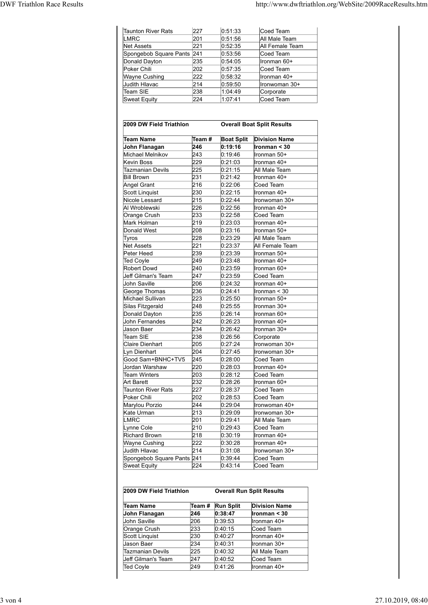|                                             |            |                    | http://www.dwftriathlon.org/WebSite/2009RaceResults.htm |
|---------------------------------------------|------------|--------------------|---------------------------------------------------------|
|                                             |            |                    |                                                         |
| Taunton River Rats                          | 227        | 0:51:33            | Coed Team                                               |
| <b>LMRC</b>                                 | 201        | 0.51:56            | All Male Team                                           |
|                                             |            | 0:52:35            | All Female Team                                         |
|                                             |            |                    |                                                         |
| Net Assets                                  | 221        |                    |                                                         |
| Spongebob Square Pants 241<br>Donald Dayton | 235        | 0:53:56<br>0:54:05 | Coed Team<br>Ironman 60+                                |
| Poker Chili                                 | 202        | 0:57:35            | Coed Team                                               |
|                                             |            |                    |                                                         |
| <b>Wayne Cushing</b><br>Judith Hlavac       | 222<br>214 | 0:58:32<br>0:59:50 | Ironman 40+                                             |
| Team SIE                                    | 238        | 1:04:49            | Ironwoman 30+<br>Corporate                              |

| Taunton River Rats<br><b>LMRC</b><br><b>Net Assets</b><br>Spongebob Square Pants<br>Donald Dayton<br>Poker Chili<br>Wayne Cushing | 227<br>201 | 0.51.33                      |                                   |
|-----------------------------------------------------------------------------------------------------------------------------------|------------|------------------------------|-----------------------------------|
|                                                                                                                                   |            |                              |                                   |
|                                                                                                                                   |            |                              | Coed Team                         |
|                                                                                                                                   |            | 0:51:56                      | All Male Team                     |
|                                                                                                                                   | 221        | 0.52:35                      | All Female Team                   |
|                                                                                                                                   | 241        | 0.53.56                      | Coed Team                         |
|                                                                                                                                   | 235        | 0:54:05                      | Ironman 60+                       |
|                                                                                                                                   | 202<br>222 | 0.57:35<br>0.58.32           | Coed Team<br>Ironman 40+          |
| Judith Hlavac                                                                                                                     | 214        | 0.59.50                      | Ironwoman 30+                     |
| Team SIE                                                                                                                          | 238        | 1.04.49                      | Corporate                         |
| Sweat Equity                                                                                                                      | 224        | 1:07:41                      | Coed Team                         |
|                                                                                                                                   |            |                              |                                   |
|                                                                                                                                   |            |                              |                                   |
| 2009 DW Field Triathlon                                                                                                           |            |                              | <b>Overall Boat Split Results</b> |
| Team Name                                                                                                                         | Team #     |                              | <b>Division Name</b>              |
| John Flanagan                                                                                                                     | 246        | <b>Boat Split</b><br>0:19:16 | Ironman < 30                      |
| Michael Melnikov                                                                                                                  | 243        | 0:19:46                      | Ironman 50+                       |
| <b>Kevin Boss</b>                                                                                                                 | 229        | 0.21:03                      | Ironman 40+                       |
| Tazmanian Devils                                                                                                                  | 225        | 0:21:15                      | All Male Team                     |
| <b>Bill Brown</b>                                                                                                                 | 231        | 0.21.42                      | Ironman 40+                       |
| <b>Angel Grant</b>                                                                                                                | 216        | 0:22:06                      | Coed Team                         |
| Scott Linguist                                                                                                                    | 230        | 0:22:15                      | Ironman 40+                       |
| Nicole Lessard                                                                                                                    | 215        | 0:22:44                      | Ironwoman 30+                     |
| Al Wroblewski                                                                                                                     | 226        | 0:22:56                      | Ironman 40+                       |
| Orange Crush<br>Mark Holman                                                                                                       | 233<br>219 | 0.22:58<br>0:23:03           | Coed Team<br>Ironman 40+          |
| Donald West                                                                                                                       | 208        | 0:23:16                      | Ironman 50+                       |
| Tyros                                                                                                                             | 228        | 0:23:29                      | All Male Team                     |
| Net Assets                                                                                                                        | 221        | 0:23:37                      | All Female Team                   |
| Peter Heed                                                                                                                        | 239        | 0.23.39                      | Ironman 50+                       |
| <b>Ted Coyle</b>                                                                                                                  | 249        | 0:23:48                      | Ironman 40+                       |
| Robert Dowd                                                                                                                       | 240        | 0:23:59                      | Ironman 60+                       |
| Jeff Gilman's Team                                                                                                                | 247        | 0:23:59                      | Coed Team                         |
| John Saville                                                                                                                      | 206        | 0.24.32                      | lronman 40+                       |
| George Thomas                                                                                                                     | 236        | 0:24:41                      | Ironman < 30                      |
| Michael Sullivan                                                                                                                  | 223<br>248 | 0.25:50                      | Ironman 50+<br>Ironman 30+        |
| Silas Fitzgerald<br>Donald Dayton                                                                                                 | 235        | 0:25:55<br>0:26:14           | Ironman 60+                       |
| John Fernandes                                                                                                                    | 242        | 0.26.23                      | Ironman 40+                       |
| Jason Baer                                                                                                                        | 234        | 0.26.42                      | Ironman 30+                       |
| Team SIE                                                                                                                          | 238        | 0.26:56                      | Corporate                         |
| <b>Claire Dienhart</b>                                                                                                            | 205        | 0:27:24                      | Ironwoman 30+                     |
| Lyn Dienhart                                                                                                                      | 204        | 0.27:45                      | Ironwoman 30+                     |
| Good Sam+BNHC+TV5                                                                                                                 | 245        | 0.28:00                      | Coed Team                         |
| Jordan Warshaw                                                                                                                    | 220        | 0:28:03                      | Ironman 40+                       |
| Team Winters                                                                                                                      | 203        | 0:28:12                      | Coed Team                         |
| Art Barett                                                                                                                        | 232        | 0.28:26                      | Ironman 60+                       |
| <b>Taunton River Rats</b>                                                                                                         | 227        | 0.28.37                      | Coed Team                         |
| Poker Chili<br>Marylou Porzio                                                                                                     | 202<br>244 | 0:28:53<br>0:29:04           | Coed Team<br>Ironwoman 40+        |
| Kate Urman                                                                                                                        | 213        | 0:29:09                      | Ironwoman 30+                     |
| LMRC                                                                                                                              | 201        | 0.29.41                      | All Male Team                     |
| Lynne Cole                                                                                                                        | 210        | 0:29:43                      | Coed Team                         |
| Richard Brown                                                                                                                     | 218        | 0:30:19                      | Ironman 40+                       |
| <b>Wayne Cushing</b>                                                                                                              | 222        | 0:30:28                      | Ironman 40+                       |
| Judith Hlavac                                                                                                                     | 214        | 0.31.08                      | Ironwoman 30+                     |
| Spongebob Square Pants 241                                                                                                        |            | 0:39:44                      | Coed Team                         |
| <b>Sweat Equity</b>                                                                                                               | 224        | 0:43:14                      | Coed Team                         |
|                                                                                                                                   |            |                              |                                   |
|                                                                                                                                   |            |                              |                                   |
| 2009 DW Field Triathlon                                                                                                           |            |                              | <b>Overall Run Split Results</b>  |
|                                                                                                                                   |            |                              |                                   |
| Team Name                                                                                                                         | Team#      | <b>Run Split</b>             | <b>Division Name</b>              |
| John Flanagan                                                                                                                     | 246        | 0:38:47                      | Ironman < 30                      |
| John Saville                                                                                                                      | 206<br>233 | 0:39:53<br>0.40:15           | Ironman 40+<br>Coed Team          |
| Orange Crush<br>Scott Linquist                                                                                                    | 230        | 0:40:27                      | Ironman 40+                       |
| Jason Baer                                                                                                                        | 234        | 0.40:31                      | Ironman 30+                       |
| Tazmanian Devils                                                                                                                  | 225        | 0:40:32                      | All Male Team                     |
| Jeff Gilman's Team                                                                                                                | 247        | 0.40.52                      | Coed Team                         |
| <b>Ted Coyle</b>                                                                                                                  | 249        | 0.41.26                      | Ironman 40+                       |

| 2009 DW Field Triathlon |        |                  | <b>Overall Run Split Results</b> |
|-------------------------|--------|------------------|----------------------------------|
| Team Name               | Team # | <b>Run Split</b> | <b>Division Name</b>             |
| John Flanagan           | 246    | 0:38:47          | Ironman < 30                     |
| John Saville            | 206    | 0:39:53          | llronman 40+                     |
| Orange Crush            | 233    | 0:40:15          | Coed Team                        |
| Scott Linguist          | 230    | 0:40:27          | llronman 40+                     |
| Jason Baer              | 234    | 0:40:31          | Ironman 30+                      |
| <b>Tazmanian Devils</b> | 225    | 0.40.32          | All Male Team                    |
| Ueff Gilman's Team      | 247    | 0.40.52          | Coed Team                        |
| Ted Coyle               | 249    | 0:41:26          | Ironman 40+                      |